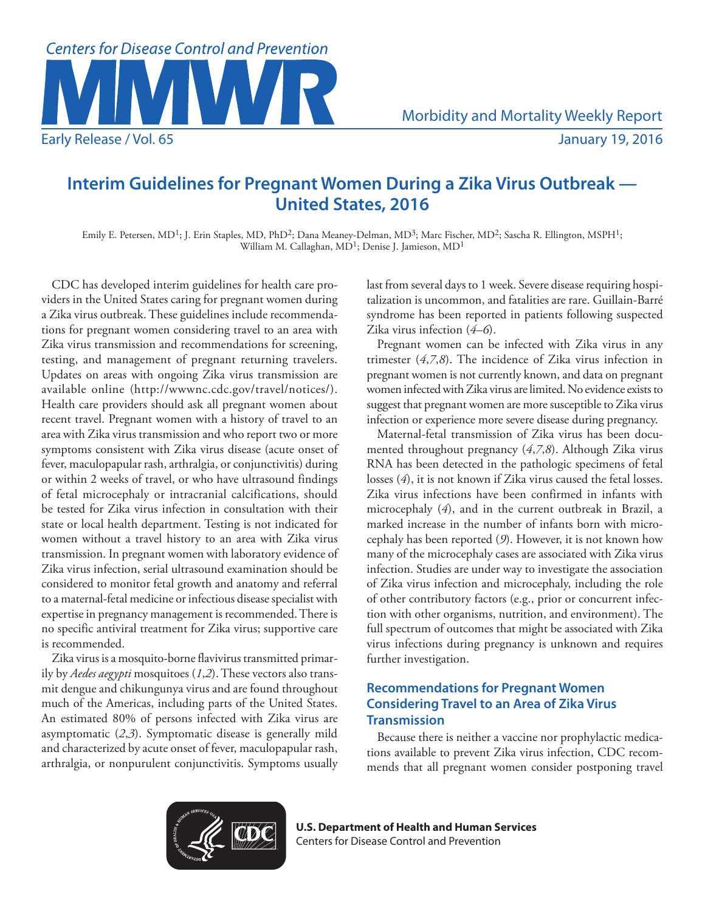

# **Interim Guidelines for Pregnant Women During a Zika Virus Outbreak — United States, 2016**

Emily E. Petersen, MD<sup>1</sup>; J. Erin Staples, MD, PhD<sup>2</sup>; Dana Meaney-Delman, MD<sup>3</sup>; Marc Fischer, MD<sup>2</sup>; Sascha R. Ellington, MSPH<sup>1</sup>; William M. Callaghan, MD<sup>1</sup>; Denise J. Jamieson, MD<sup>1</sup>

CDC has developed interim guidelines for health care providers in the United States caring for pregnant women during a Zika virus outbreak. These guidelines include recommendations for pregnant women considering travel to an area with Zika virus transmission and recommendations for screening, testing, and management of pregnant returning travelers. Updates on areas with ongoing Zika virus transmission are available online ([http://wwwnc.cdc.gov/travel/notices/\)](http://wwwnc.cdc.gov/travel/notices/). Health care providers should ask all pregnant women about recent travel. Pregnant women with a history of travel to an area with Zika virus transmission and who report two or more symptoms consistent with Zika virus disease (acute onset of fever, maculopapular rash, arthralgia, or conjunctivitis) during or within 2 weeks of travel, or who have ultrasound findings of fetal microcephaly or intracranial calcifications, should be tested for Zika virus infection in consultation with their state or local health department. Testing is not indicated for women without a travel history to an area with Zika virus transmission. In pregnant women with laboratory evidence of Zika virus infection, serial ultrasound examination should be considered to monitor fetal growth and anatomy and referral to a maternal-fetal medicine or infectious disease specialist with expertise in pregnancy management is recommended. There is no specific antiviral treatment for Zika virus; supportive care is recommended.

Zika virus is a mosquito-borne flavivirus transmitted primarily by *Aedes aegypti* mosquitoes (*1*,*2*). These vectors also transmit dengue and chikungunya virus and are found throughout much of the Americas, including parts of the United States. An estimated 80% of persons infected with Zika virus are asymptomatic (*2*,*3*). Symptomatic disease is generally mild and characterized by acute onset of fever, maculopapular rash, arthralgia, or nonpurulent conjunctivitis. Symptoms usually last from several days to 1 week. Severe disease requiring hospitalization is uncommon, and fatalities are rare. Guillain-Barré syndrome has been reported in patients following suspected Zika virus infection (*4*–*6*).

Pregnant women can be infected with Zika virus in any trimester (*4*,*7*,*8*). The incidence of Zika virus infection in pregnant women is not currently known, and data on pregnant women infected with Zika virus are limited. No evidence exists to suggest that pregnant women are more susceptible to Zika virus infection or experience more severe disease during pregnancy.

Maternal-fetal transmission of Zika virus has been documented throughout pregnancy (*4*,*7*,*8*). Although Zika virus RNA has been detected in the pathologic specimens of fetal losses (*4*), it is not known if Zika virus caused the fetal losses. Zika virus infections have been confirmed in infants with microcephaly (*4*), and in the current outbreak in Brazil, a marked increase in the number of infants born with microcephaly has been reported (*9*). However, it is not known how many of the microcephaly cases are associated with Zika virus infection. Studies are under way to investigate the association of Zika virus infection and microcephaly, including the role of other contributory factors (e.g., prior or concurrent infection with other organisms, nutrition, and environment). The full spectrum of outcomes that might be associated with Zika virus infections during pregnancy is unknown and requires further investigation.

### **Recommendations for Pregnant Women Considering Travel to an Area of Zika Virus Transmission**

Because there is neither a vaccine nor prophylactic medications available to prevent Zika virus infection, CDC recommends that all pregnant women consider postponing travel



**U.S. Department of Health and Human Services** Centers for Disease Control and Prevention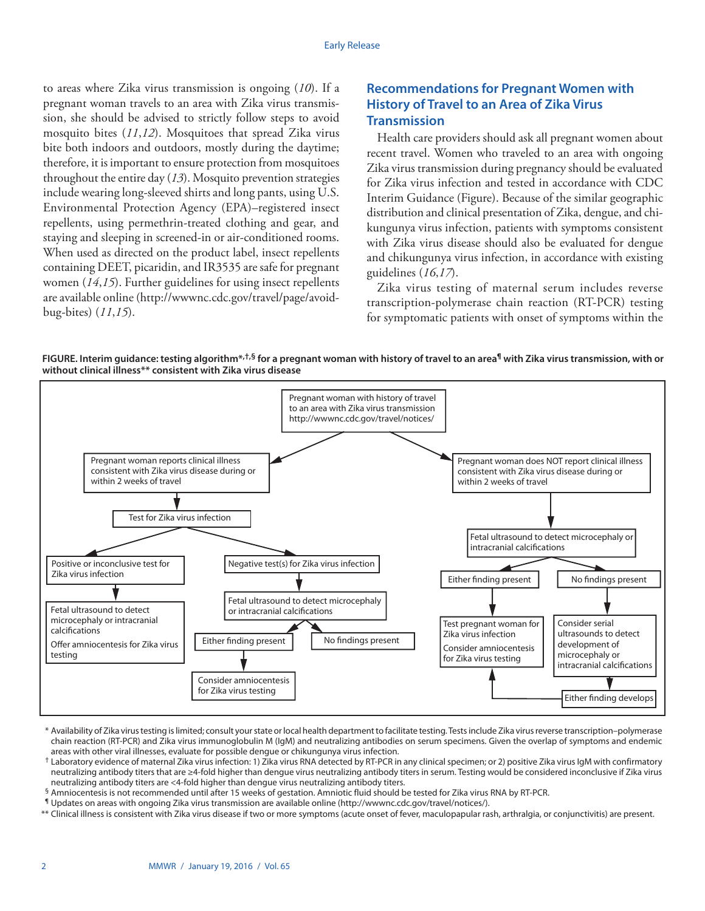to areas where Zika virus transmission is ongoing (*10*). If a pregnant woman travels to an area with Zika virus transmission, she should be advised to strictly follow steps to avoid mosquito bites (*11*,*12*). Mosquitoes that spread Zika virus bite both indoors and outdoors, mostly during the daytime; therefore, it is important to ensure protection from mosquitoes throughout the entire day (*13*). Mosquito prevention strategies include wearing long-sleeved shirts and long pants, using U.S. Environmental Protection Agency (EPA)–registered insect repellents, using permethrin-treated clothing and gear, and staying and sleeping in screened-in or air-conditioned rooms. When used as directed on the product label, insect repellents containing DEET, picaridin, and IR3535 are safe for pregnant women (*14*,*15*). Further guidelines for using insect repellents are available online ([http://wwwnc.cdc.gov/travel/page/avoid](http://wwwnc.cdc.gov/travel/page/avoid-bug-bites)[bug-bites\)](http://wwwnc.cdc.gov/travel/page/avoid-bug-bites) (*11*,*15*).

## **Recommendations for Pregnant Women with History of Travel to an Area of Zika Virus Transmission**

Health care providers should ask all pregnant women about recent travel. Women who traveled to an area with ongoing Zika virus transmission during pregnancy should be evaluated for Zika virus infection and tested in accordance with CDC Interim Guidance (Figure). Because of the similar geographic distribution and clinical presentation of Zika, dengue, and chikungunya virus infection, patients with symptoms consistent with Zika virus disease should also be evaluated for dengue and chikungunya virus infection, in accordance with existing guidelines (*16*,*17*).

Zika virus testing of maternal serum includes reverse transcription-polymerase chain reaction (RT-PCR) testing for symptomatic patients with onset of symptoms within the





<sup>\*</sup> Availability of Zika virus testing is limited; consult your state or local health department to facilitate testing. Tests include Zika virus reverse transcription–polymerase chain reaction (RT-PCR) and Zika virus immunoglobulin M (IgM) and neutralizing antibodies on serum specimens. Given the overlap of symptoms and endemic areas with other viral illnesses, evaluate for possible dengue or chikungunya virus infection.

\*\* Clinical illness is consistent with Zika virus disease if two or more symptoms (acute onset of fever, maculopapular rash, arthralgia, or conjunctivitis) are present.

 $^{\dagger}$  Laboratory evidence of maternal Zika virus infection: 1) Zika virus RNA detected by RT-PCR in any clinical specimen; or 2) positive Zika virus IgM with confirmatory neutralizing antibody titers that are ≥4-fold higher than dengue virus neutralizing antibody titers in serum. Testing would be considered inconclusive if Zika virus neutralizing antibody titers are <4-fold higher than dengue virus neutralizing antibody titers.

<sup>§</sup> Amniocentesis is not recommended until after 15 weeks of gestation. Amniotic fluid should be tested for Zika virus RNA by RT-PCR.

<sup>¶</sup> Updates on areas with ongoing Zika virus transmission are available online ([http://wwwnc.cdc.gov/travel/notices/\)](http://wwwnc.cdc.gov/travel/notices/).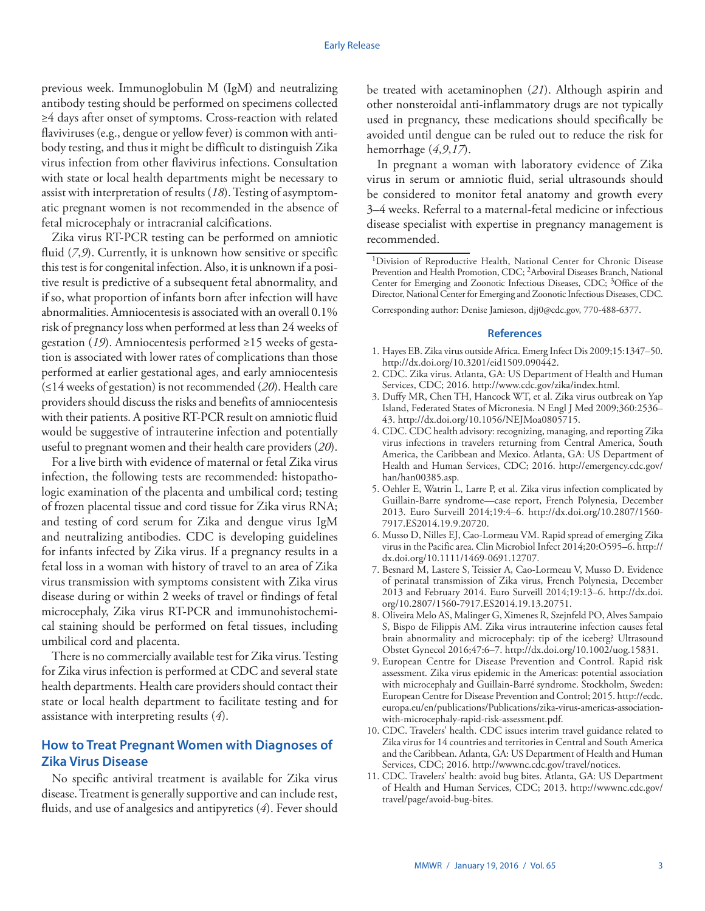previous week. Immunoglobulin M (IgM) and neutralizing antibody testing should be performed on specimens collected ≥4 days after onset of symptoms. Cross-reaction with related flaviviruses (e.g., dengue or yellow fever) is common with antibody testing, and thus it might be difficult to distinguish Zika virus infection from other flavivirus infections. Consultation with state or local health departments might be necessary to assist with interpretation of results (*18*). Testing of asymptomatic pregnant women is not recommended in the absence of fetal microcephaly or intracranial calcifications.

Zika virus RT-PCR testing can be performed on amniotic fluid (7,9). Currently, it is unknown how sensitive or specific this test is for congenital infection. Also, it is unknown if a positive result is predictive of a subsequent fetal abnormality, and if so, what proportion of infants born after infection will have abnormalities. Amniocentesis is associated with an overall 0.1% risk of pregnancy loss when performed at less than 24 weeks of gestation (*19*). Amniocentesis performed ≥15 weeks of gestation is associated with lower rates of complications than those performed at earlier gestational ages, and early amniocentesis (≤14 weeks of gestation) is not recommended (*20*). Health care providers should discuss the risks and benefits of amniocentesis with their patients. A positive RT-PCR result on amniotic fluid would be suggestive of intrauterine infection and potentially useful to pregnant women and their health care providers (*20*).

For a live birth with evidence of maternal or fetal Zika virus infection, the following tests are recommended: histopathologic examination of the placenta and umbilical cord; testing of frozen placental tissue and cord tissue for Zika virus RNA; and testing of cord serum for Zika and dengue virus IgM and neutralizing antibodies. CDC is developing guidelines for infants infected by Zika virus. If a pregnancy results in a fetal loss in a woman with history of travel to an area of Zika virus transmission with symptoms consistent with Zika virus disease during or within 2 weeks of travel or findings of fetal microcephaly, Zika virus RT-PCR and immunohistochemical staining should be performed on fetal tissues, including umbilical cord and placenta.

There is no commercially available test for Zika virus. Testing for Zika virus infection is performed at CDC and several state health departments. Health care providers should contact their state or local health department to facilitate testing and for assistance with interpreting results (*4*).

## **How to Treat Pregnant Women with Diagnoses of Zika Virus Disease**

No specific antiviral treatment is available for Zika virus disease. Treatment is generally supportive and can include rest, fluids, and use of analgesics and antipyretics (*4*). Fever should be treated with acetaminophen (*21*). Although aspirin and other nonsteroidal anti-inflammatory drugs are not typically used in pregnancy, these medications should specifically be avoided until dengue can be ruled out to reduce the risk for hemorrhage (*4*,*9*,*17*).

In pregnant a woman with laboratory evidence of Zika virus in serum or amniotic fluid, serial ultrasounds should be considered to monitor fetal anatomy and growth every 3–4 weeks. Referral to a maternal-fetal medicine or infectious disease specialist with expertise in pregnancy management is recommended.

Corresponding author: Denise Jamieson, [djj0@cdc.gov,](mailto:djj0@cdc.gov) 770-488-6377.

#### **References**

- 1. Hayes EB. Zika virus outside Africa. Emerg Infect Dis 2009;15:1347–50. <http://dx.doi.org/10.3201/eid1509.090442>.
- 2. CDC. Zika virus. Atlanta, GA: US Department of Health and Human Services, CDC; 2016.<http://www.cdc.gov/zika/index.html>.
- 3. Duffy MR, Chen TH, Hancock WT, et al. Zika virus outbreak on Yap Island, Federated States of Micronesia. N Engl J Med 2009;360:2536– 43. <http://dx.doi.org/10.1056/NEJMoa0805715>.
- 4. CDC. CDC health advisory: recognizing, managing, and reporting Zika virus infections in travelers returning from Central America, South America, the Caribbean and Mexico. Atlanta, GA: US Department of Health and Human Services, CDC; 2016. [http://emergency.cdc.gov/](http://emergency.cdc.gov/han/han00385.asp) [han/han00385.asp.](http://emergency.cdc.gov/han/han00385.asp)
- 5. Oehler E, Watrin L, Larre P, et al. Zika virus infection complicated by Guillain-Barre syndrome—case report, French Polynesia, December 2013. Euro Surveill 2014;19:4–6. [http://dx.doi.org/10.2807/1560-](http://dx.doi.org/10.2807/1560-7917.ES2014.19.9.20720) [7917.ES2014.19.9.20720.](http://dx.doi.org/10.2807/1560-7917.ES2014.19.9.20720)
- 6. Musso D, Nilles EJ, Cao-Lormeau VM. Rapid spread of emerging Zika virus in the Pacific area. Clin Microbiol Infect 2014;20:O595–6. [http://](http://dx.doi.org/10.1111/1469-0691.12707) [dx.doi.org/10.1111/1469-0691.12707](http://dx.doi.org/10.1111/1469-0691.12707).
- 7. Besnard M, Lastere S, Teissier A, Cao-Lormeau V, Musso D. Evidence of perinatal transmission of Zika virus, French Polynesia, December 2013 and February 2014. Euro Surveill 2014;19:13–6. [http://dx.doi.](http://dx.doi.org/10.2807/1560-7917.ES2014.19.13.20751) [org/10.2807/1560-7917.ES2014.19.13.20751.](http://dx.doi.org/10.2807/1560-7917.ES2014.19.13.20751)
- 8. Oliveira Melo AS, Malinger G, Ximenes R, Szejnfeld PO, Alves Sampaio S, Bispo de Filippis AM. Zika virus intrauterine infection causes fetal brain abnormality and microcephaly: tip of the iceberg? Ultrasound Obstet Gynecol 2016;47:6–7. [http://dx.doi.org/10.1002/uog.15831](http://dx.doi.org/10.2807/1560-7917.ES2014.19.13.20751).
- 9. European Centre for Disease Prevention and Control. Rapid risk assessment. Zika virus epidemic in the Americas: potential association with microcephaly and Guillain-Barré syndrome. Stockholm, Sweden: European Centre for Disease Prevention and Control; 2015. [http://ecdc.](http://ecdc.europa.eu/en/publications/Publications/zika-virus-americas-association-with-microcephaly-rapid-risk-assessment.pdf) [europa.eu/en/publications/Publications/zika-virus-americas-association](http://ecdc.europa.eu/en/publications/Publications/zika-virus-americas-association-with-microcephaly-rapid-risk-assessment.pdf)[with-microcephaly-rapid-risk-assessment.pdf](http://ecdc.europa.eu/en/publications/Publications/zika-virus-americas-association-with-microcephaly-rapid-risk-assessment.pdf).
- 10. CDC. Travelers' health. CDC issues interim travel guidance related to Zika virus for 14 countries and territories in Central and South America and the Caribbean. Atlanta, GA: US Department of Health and Human Services, CDC; 2016. [http://wwwnc.cdc.gov/travel/notices.](http://wwwnc.cdc.gov/travel/notices)
- 11. CDC. Travelers' health: avoid bug bites. Atlanta, GA: US Department of Health and Human Services, CDC; 2013. [http://wwwnc.cdc.gov/](http://wwwnc.cdc.gov/travel/page/avoid-bug-bites) [travel/page/avoid-bug-bites](http://wwwnc.cdc.gov/travel/page/avoid-bug-bites).

<sup>1</sup>Division of Reproductive Health, National Center for Chronic Disease Prevention and Health Promotion, CDC; 2Arboviral Diseases Branch, National Center for Emerging and Zoonotic Infectious Diseases, CDC; 3Office of the Director, National Center for Emerging and Zoonotic Infectious Diseases, CDC.